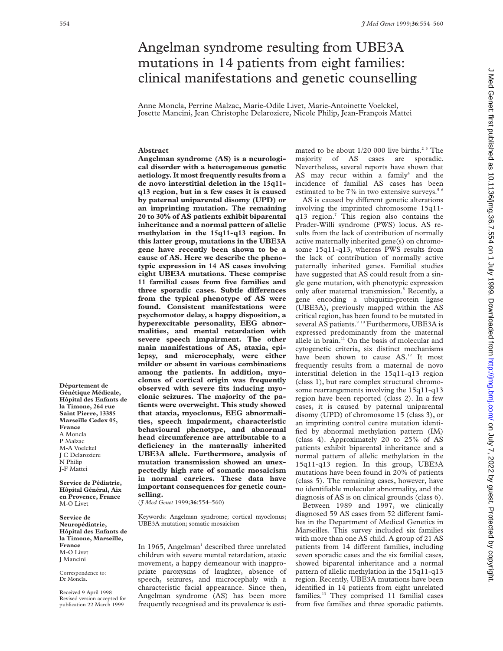# Angelman syndrome resulting from UBE3A mutations in 14 patients from eight families: clinical manifestations and genetic counselling

Anne Moncla, Perrine Malzac, Marie-Odile Livet, Marie-Antoinette Voelckel, Josette Mancini, Jean Christophe Delaroziere, Nicole Philip, Jean-François Mattei

# **Abstract**

**Angelman syndrome (AS) is a neurological disorder with a heterogeneous genetic aetiology. It most frequently results from a de novo interstitial deletion in the 15q11 q13 region, but in a few cases it is caused by paternal uniparental disomy (UPD) or an imprinting mutation. The remaining 20 to 30% of AS patients exhibit biparental inheritance and a normal pattern of allelic methylation in the 15q11-q13 region. In this latter group, mutations in the UBE3A gene have recently been shown to be a cause of AS. Here we describe the phenotypic expression in 14 AS cases involving eight UBE3A mutations. These comprise 11 familial cases from five families and** three sporadic cases. Subtle differences **from the typical phenotype of AS were found. Consistent manifestations were psychomotor delay, a happy disposition, a hyperexcitable personality, EEG abnormalities, and mental retardation with severe speech impairment. The other main manifestations of AS, ataxia, epilepsy, and microcephaly, were either milder or absent in various combinations among the patients. In addition, myoclonus of cortical origin was frequently observed with severe fits inducing myoclonic seizures. The majority of the patients were overweight. This study showed that ataxia, myoclonus, EEG abnormalities, speech impairment, characteristic behavioural phenotype, and abnormal head circumference are attributable to a deficiency in the maternally inherited UBE3A allele. Furthermore, analysis of mutation transmission showed an unexpectedly high rate of somatic mosaicism in normal carriers. These data have important consequences for genetic counselling.**

(*J Med Genet* 1999;**36**:554–560)

Keywords: Angelman syndrome; cortical myoclonus; UBE3A mutation; somatic mosaicism

In 1965, Angelman<sup>1</sup> described three unrelated children with severe mental retardation, ataxic movement, a happy demeanour with inappropriate paroxysms of laughter, absence of speech, seizures, and microcephaly with a characteristic facial appearance. Since then, Angelman syndrome (AS) has been more frequently recognised and its prevalence is estimated to be about 1/20 000 live births.<sup>23</sup> The majority of AS cases are sporadic. Nevertheless, several reports have shown that AS may recur within a family $4$  and the incidence of familial AS cases has been estimated to be  $7\%$  in two extensive surveys.<sup>5</sup>

AS is caused by different genetic alterations involving the imprinted chromosome 15q11 q13 region.7 This region also contains the Prader-Willi syndrome (PWS) locus. AS results from the lack of contribution of normally active maternally inherited gene(s) on chromosome 15q11-q13, whereas PWS results from the lack of contribution of normally active paternally inherited genes. Familial studies have suggested that AS could result from a single gene mutation, with phenotypic expression only after maternal transmission.<sup>8</sup> Recently, a gene encoding a ubiquitin-protein ligase (UBE3A), previously mapped within the AS critical region, has been found to be mutated in several AS patients.<sup>9 10</sup> Furthermore, UBE3A is expressed predominantly from the maternal allele in brain. $11$  On the basis of molecular and cytogenetic criteria, six distinct mechanisms have been shown to cause AS.<sup>12</sup> It most frequently results from a maternal de novo interstitial deletion in the 15q11-q13 region (class 1), but rare complex structural chromosome rearrangements involving the 15q11-q13 region have been reported (class 2). In a few cases, it is caused by paternal uniparental disomy (UPD) of chromosome 15 (class 3), or an imprinting control centre mutation identified by abnormal methylation pattern (IM) (class 4). Approximately 20 to 25% of AS patients exhibit biparental inheritance and a normal pattern of allelic methylation in the 15q11-q13 region. In this group, UBE3A mutations have been found in 20% of patients (class 5). The remaining cases, however, have no identifiable molecular abnormality, and the diagnosis of AS is on clinical grounds (class 6).

Between 1989 and 1997, we clinically diagnosed 59 AS cases from 52 different families in the Department of Medical Genetics in Marseilles. This survey included six families with more than one AS child. A group of 21 AS patients from 14 different families, including seven sporadic cases and the six familial cases, showed biparental inheritance and a normal pattern of allelic methylation in the 15q11-q13 region. Recently, UBE3A mutations have been identified in 14 patients from eight unrelated families.13 They comprised 11 familial cases from five families and three sporadic patients.

**Génétique Médicale, Hôpital des Enfants de la Timone, 264 rue Saint Pierre, 13385 Marseille Cedex 05, France** A Moncla P Malzac M-A Voelckel J C Delaroziere N Philip J-F Mattei

**Département de**

**Service de Pédiatrie, Hôpital Général, Aix en Provence, France** M-O Livet

**Service de Neuropédiatrie, Hôpital des Enfants de la Timone, Marseille, France**  $M$ -O Livet J Mancini

Correspondence to: Dr Moncla.

Received 9 April 1998 Revised version accepted for publication 22 March 1999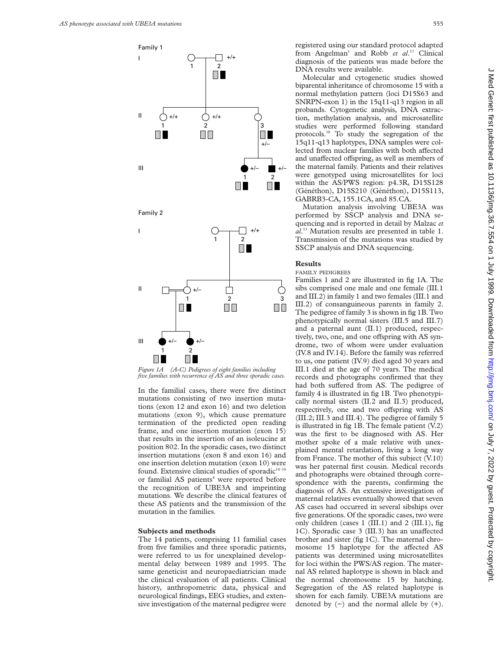

In the familial cases, there were five distinct mutations consisting of two insertion mutations (exon 12 and exon 16) and two deletion mutations (exon 9), which cause premature termination of the predicted open reading frame, and one insertion mutation (exon 15) that results in the insertion of an isoleucine at position 802. In the sporadic cases, two distinct insertion mutations (exon 8 and exon 16) and one insertion deletion mutation (exon 10) were found. Extensive clinical studies of sporadic $14-16$ or familial AS patients<sup>4</sup> were reported before the recognition of UBE3A and imprinting mutations. We describe the clinical features of these AS patients and the transmission of the mutation in the families.

#### **Subjects and methods**

The 14 patients, comprising 11 familial cases from five families and three sporadic patients, were referred to us for unexplained developmental delay between 1989 and 1995. The same geneticist and neuropaediatrician made the clinical evaluation of all patients. Clinical history, anthropometric data, physical and neurological findings, EEG studies, and extensive investigation of the maternal pedigree were registered using our standard protocol adapted from Angelman<sup>1</sup> and Robb et al.<sup>17</sup> Clinical diagnosis of the patients was made before the DNA results were available.

Molecular and cytogenetic studies showed biparental inheritance of chromosome 15 with a normal methylation pattern (loci D15S63 and SNRPN-exon 1) in the 15q11-q13 region in all probands. Cytogenetic analysis, DNA extraction, methylation analysis, and microsatellite studies were performed following standard protocols.18 To study the segregation of the 15q11-q13 haplotypes, DNA samples were collected from nuclear families with both affected and unaffected offspring, as well as members of the maternal family. Patients and their relatives were genotyped using microsatellites for loci within the AS/PWS region: p4.3R, D15S128 (Généthon), D15S210 (Généthon), D15S113, GABRB3-CA, 155.1CA, and 85.CA.

Mutation analysis involving UBE3A was performed by SSCP analysis and DNA sequencing and is reported in detail by Malzac *et al*. <sup>13</sup> Mutation results are presented in table 1. Transmission of the mutations was studied by SSCP analysis and DNA sequencing.

# **Results**

FAMILY PEDIGREES Families 1 and 2 are illustrated in fig 1A. The sibs comprised one male and one female (III.1 and III.2) in family 1 and two females (III.1 and III.2) of consanguineous parents in family 2. The pedigree of family 3 is shown in fig 1B. Two phenotypically normal sisters (III.5 and III.7) and a paternal aunt (II.1) produced, respectively, two, one, and one offspring with AS syndrome, two of whom were under evaluation (IV.8 and IV.14). Before the family was referred to us, one patient (IV.9) died aged 30 years and III.1 died at the age of 70 years. The medical records and photographs confirmed that they had both suffered from AS. The pedigree of family 4 is illustrated in fig 1B. Two phenotypically normal sisters (II.2 and II.3) produced, respectively, one and two offspring with AS (III.2; III.3 and III.4). The pedigree of family 5 is illustrated in fig 1B. The female patient (V.2) was the first to be diagnosed with AS. Her mother spoke of a male relative with unexplained mental retardation, living a long way from France. The mother of this subject (V.10) was her paternal first cousin. Medical records and photographs were obtained through correspondence with the parents, confirming the diagnosis of AS. An extensive investigation of maternal relatives eventually showed that seven AS cases had occurred in several sibships over five generations. Of the sporadic cases, two were only children (cases  $1$  (III.1) and  $2$  (III.1), fig. 1C). Sporadic case 3 (III.3) has an unaffected brother and sister (fig 1C). The maternal chromosome 15 haplotype for the affected AS patients was determined using microsatellites for loci within the PWS/AS region. The maternal AS related haplotype is shown in black and the normal chromosome 15 by hatching. Segregation of the AS related haplotype is shown for each family. UBE3A mutations are denoted by  $(-)$  and the normal allele by  $(+)$ .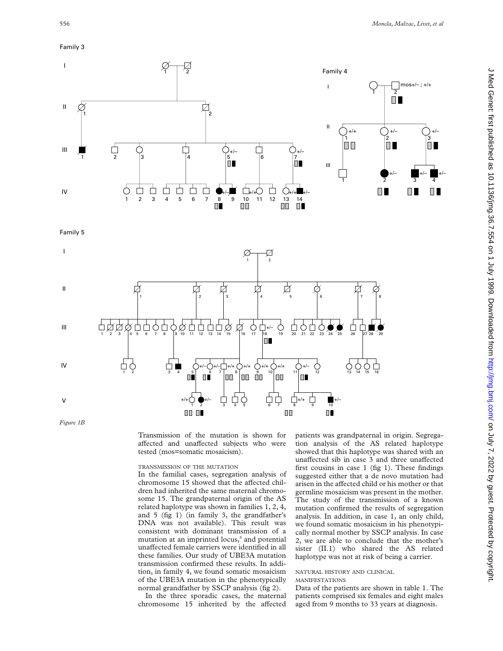# Family 3



Family 5



*Figure 1B*

Transmission of the mutation is shown for affected and unaffected subjects who were tested (mos=somatic mosaicism).

## TRANSMISSION OF THE MUTATION

In the familial cases, segregation analysis of chromosome 15 showed that the affected children had inherited the same maternal chromosome 15. The grandpaternal origin of the AS related haplotype was shown in families 1, 2, 4, and 5 (fig 1) (in family 3, the grandfather's DNA was not available). This result was consistent with dominant transmission of a mutation at an imprinted locus,<sup>8</sup> and potential unaffected female carriers were identified in all these families. Our study of UBE3A mutation transmission confirmed these results. In addition, in family 4, we found somatic mosaicism of the UBE3A mutation in the phenotypically normal grandfather by SSCP analysis (fig 2).

In the three sporadic cases, the maternal chromosome 15 inherited by the affected patients was grandpaternal in origin. Segregation analysis of the AS related haplotype showed that this haplotype was shared with an unaffected sib in case 3 and three unaffected first cousins in case 1 (fig 1). These findings suggested either that a de novo mutation had arisen in the affected child or his mother or that germline mosaicism was present in the mother. The study of the transmission of a known mutation confirmed the results of segregation analysis. In addition, in case 1, an only child, we found somatic mosaicism in his phenotypically normal mother by SSCP analysis. In case 2, we are able to conclude that the mother's sister (II.1) who shared the AS related haplotype was not at risk of being a carrier.

# NATURAL HISTORY AND CLINICAL

# MANIFESTATIONS

Data of the patients are shown in table 1. The patients comprised six females and eight males aged from 9 months to 33 years at diagnosis.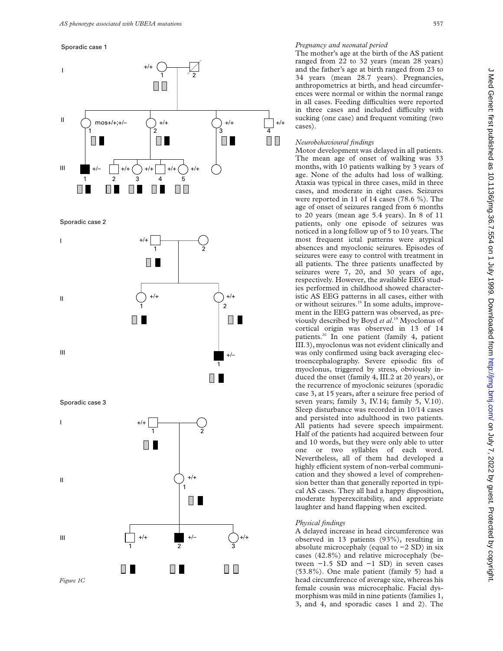#### Sporadic case 1



Sporadic case 2



Sporadic case 3



# *Pregnancy and neonatal period*

The mother's age at the birth of the AS patient ranged from 22 to 32 years (mean 28 years) and the father's age at birth ranged from 23 to 34 years (mean 28.7 years). Pregnancies, anthropometrics at birth, and head circumferences were normal or within the normal range in all cases. Feeding difficulties were reported in three cases and included difficulty with sucking (one case) and frequent vomiting (two cases).

## *Neurobehavioural findings*

Motor development was delayed in all patients. The mean age of onset of walking was 33 months, with 10 patients walking by 3 years of age. None of the adults had loss of walking. Ataxia was typical in three cases, mild in three cases, and moderate in eight cases. Seizures were reported in 11 of 14 cases (78.6 %). The age of onset of seizures ranged from 6 months to 20 years (mean age 5.4 years). In 8 of 11 patients, only one episode of seizures was noticed in a long follow up of 5 to 10 years. The most frequent ictal patterns were atypical absences and myoclonic seizures. Episodes of seizures were easy to control with treatment in all patients. The three patients unaffected by seizures were 7, 20, and 30 years of age, respectively. However, the available EEG studies performed in childhood showed characteristic AS EEG patterns in all cases, either with or without seizures.<sup>19</sup> In some adults, improvement in the EEG pattern was observed, as previously described by Boyd *et al*. <sup>19</sup> Myoclonus of cortical origin was observed in 13 of 14 patients.<sup>20</sup> In one patient (family 4, patient III.3), myoclonus was not evident clinically and was only confirmed using back averaging electroencephalography. Severe episodic fits of myoclonus, triggered by stress, obviously induced the onset (family 4, III.2 at 20 years), or the recurrence of myoclonic seizures (sporadic case 3, at 15 years, after a seizure free period of seven years; family 3, IV.14; family 5, V.10). Sleep disturbance was recorded in 10/14 cases and persisted into adulthood in two patients. All patients had severe speech impairment. Half of the patients had acquired between four and 10 words, but they were only able to utter one or two syllables of each word. Nevertheless, all of them had developed a highly efficient system of non-verbal communication and they showed a level of comprehension better than that generally reported in typical AS cases. They all had a happy disposition, moderate hyperexcitability, and appropriate laughter and hand flapping when excited.

# *Physical findings*

A delayed increase in head circumference was observed in 13 patients (93%), resulting in absolute microcephaly (equal to −2 SD) in six cases (42.8%) and relative microcephaly (between −1.5 SD and −1 SD) in seven cases (53.8%). One male patient (family 5) had a head circumference of average size, whereas his female cousin was microcephalic. Facial dysmorphism was mild in nine patients (families 1, 3, and 4, and sporadic cases 1 and 2). The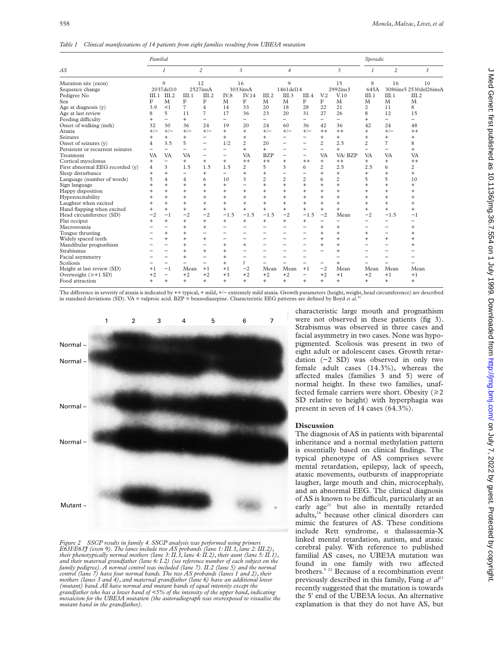*Table 1 Clinical manifestations of 14 patients from eight families resulting from UBE3A mutation*

| AS                               | Familial       |                          |                          |                          |                          |                          |                |                          |                          |                          | Sporadic       |                          |                          |                        |
|----------------------------------|----------------|--------------------------|--------------------------|--------------------------|--------------------------|--------------------------|----------------|--------------------------|--------------------------|--------------------------|----------------|--------------------------|--------------------------|------------------------|
|                                  |                | $\mathcal I$             |                          | $\overline{c}$           |                          | 3                        |                | $\overline{4}$           |                          |                          | 5              |                          | $\overline{c}$           | 3                      |
| Mutation site (exon)             | 9              |                          | 12                       |                          | 16                       |                          | $\mathbf Q$    |                          |                          | 15                       |                | 8                        | 16                       | 10                     |
| Sequence change                  | 2037del10      |                          | 2527insA                 |                          | 3033insA                 |                          | 1461del14      |                          |                          | 2992ins3                 |                | 645A                     |                          | 3086ins5 2530del26insA |
| Pedigree No                      | III.1          | III.2                    | III.1                    | III.2                    | IV.8                     | IV.14                    | III.2          | III.3                    | III.4                    | V <sub>12</sub>          | V.10           | III.1                    | III.1                    | III.2                  |
| Sex                              | F              | M                        | F                        | F                        | M                        | F                        | M              | M                        | F                        | F                        | M              | M                        | M                        | M                      |
| Age at diagnosis (y)             | 3.9            | <1                       | $\overline{7}$           | $\overline{4}$           | 14                       | 33                       | 20             | 18                       | 28                       | 22                       | 21             | $\overline{c}$           | 11                       | 8                      |
| Age at last review               | 8              | 5                        | 11                       | $\overline{7}$           | 17                       | 36                       | 23             | 20                       | 31                       | 27                       | 26             | 8                        | 12                       | 15                     |
| Feeding difficulty               | $\overline{+}$ |                          | $^{+}$                   |                          | Ξ.                       | -                        | Ξ.             | Ξ.                       | -                        | -                        | -              | $^{+}$                   | Ξ.                       |                        |
| Onset of walking (mth)           | 32             | 30                       | 36                       | 24                       | 19                       | 20                       | 24             | 60                       | 36                       | 42                       | 36             | 42                       | 24                       | 48                     |
| Ataxia                           | $+/-$          | $+/-$                    | $+/-$                    | $+/-$                    | $^{+}$                   | $+$                      | $+/-$          | $+/-$                    | $+/-$                    | $++$                     | $++$           | $\overline{+}$           | $+/-$                    | $^{++}$                |
| Seizures                         |                | $^{+}$                   | $^{+}$                   | -                        | $+$                      | $^{+}$                   | $^{+}$         | -                        | $\overline{\phantom{0}}$ | $+$                      | $^{+}$         | $^{+}$                   | $\ddot{}$                | $+$                    |
| Onset of seizures (y)            | 4              | 3.5                      | 5                        | $\qquad \qquad -$        | 1/2                      | $\overline{c}$           | 20             | -                        | $\overline{\phantom{0}}$ | $\overline{c}$           | 2.5            | $\overline{c}$           | $\overline{7}$           | 8                      |
| Persistent or recurrent seizures |                | $\overline{\phantom{0}}$ | $\overline{\phantom{0}}$ | $\equiv$                 | $\overline{\phantom{0}}$ | $^{+}$                   | $^{+}$         |                          | $\overline{\phantom{0}}$ | $\overline{\phantom{0}}$ | $^{+}$         | $\overline{\phantom{0}}$ | $\equiv$                 | $+$                    |
| Treatment                        | VA             | <b>VA</b>                | VA                       |                          | $\overline{\phantom{0}}$ | VA                       | <b>BZP</b>     | $\overline{\phantom{0}}$ | $\overline{\phantom{0}}$ | <b>VA</b>                | VA/BZP         | VA                       | <b>VA</b>                | <b>VA</b>              |
| Cortical myoclonus               | $\ddot{}$      | $\overline{\phantom{0}}$ | $^{+}$                   | $+$                      | $+$                      | $^{++}$                  | $^{++}$        | $^{+}$                   | $++$                     | $+$                      | $++$           | $^{+}$                   | $+$                      | $++$                   |
| First abnormal EEG recorded (y)  | 4              | 3                        | 1.5                      | 1.5                      | 1.5                      | $\overline{c}$           | $\overline{5}$ | 3                        | 6                        | $\overline{c}$           | 2.5            | 2.5                      | 6                        | 2                      |
| Sleep disturbance                | $\overline{+}$ | $^{+}$                   | $\overline{\phantom{0}}$ | $\ddot{}$                | $\overline{\phantom{0}}$ | $^{+}$                   | $^{+}$         | $\overline{\phantom{0}}$ |                          | $\ddot{}$                | $\ddot{}$      | $^{+}$                   | $\ddot{}$                | $+$                    |
| Language (number of words)       | 5              | $\overline{4}$           | 4                        | 6                        | 10                       | 3                        | $\overline{2}$ | $\overline{2}$           | $\overline{2}$           | 6                        | $\overline{c}$ | 5                        | 5                        | 10                     |
| Sign language                    |                | $\ddot{}$                | $\ddot{}$                | $\ddot{}$                | $+$                      |                          | $\ddot{}$      | $\ddot{}$                | $\ddot{}$                | $\ddot{}$                | $\ddot{}$      | $^{+}$                   |                          | $+$                    |
| Happy disposition                |                | $\ddot{}$                | $\ddot{}$                | $\ddot{}$                | $\ddot{}$                | $^{+}$                   | $\ddot{}$      | $\ddot{}$                | $\ddot{}$                | $\ddot{}$                | $\ddot{}$      | $\overline{+}$           | $\ddot{}$                | $\ddot{}$              |
| Hyperexcitability                |                | $\ddot{}$                | $\ddot{}$                | $\ddot{}$                | $\ddot{}$                | $^{+}$                   | $^{+}$         |                          | $\ddot{}$                | $\ddot{}$                | $\ddot{}$      | $\overline{+}$           | $\ddot{}$                | $\ddot{}$              |
| Laughter when excited            |                | $\ddot{}$                | $^{+}$                   | $+$                      | $^{+}$                   | $^{+}$                   | $^{+}$         | $^{+}$                   | $\ddot{}$                | $+$                      | $^{+}$         | $^{+}$                   | $\ddot{}$                | $+$                    |
| Hand flapping when excited       |                | $^{+}$                   | $^{+}$                   | $+$                      | $^{+}$                   | $^{+}$                   | $^{+}$         | $^{+}$                   | $^{+}$                   | $+$                      | $\ddot{}$      | $^{+}$                   | $\ddot{}$                | $+$                    |
| Head circumference (SD)          | $-2$           | $-1$                     | $-2$                     | $-2$                     | $-1.5$                   | $-1.5$                   | $-1.5$         | $-2$                     | $-1.5$                   | $-2$                     | Mean           | $-2$                     | $-1.5$                   | -1                     |
| Flat occiput                     |                | $\overline{+}$           | $^{+}$                   | $+$                      | $^{+}$                   | $^{+}$                   | $^{+}$         | $^{+}$                   | $\ddot{}$                | $\overline{\phantom{0}}$ |                | -                        |                          | -                      |
| Macrostomia                      |                |                          | $^{+}$                   | $\ddot{}$                |                          |                          |                |                          |                          | $+$                      | $^{+}$         |                          |                          | $+$                    |
| Tongue thrusting                 |                | $\ddot{}$                | $\ddot{}$                | $\overline{\phantom{0}}$ | $\overline{\phantom{0}}$ | $\overline{\phantom{0}}$ | -              | -                        |                          | $\ddot{}$                | $\ddot{}$      | $\overline{+}$           | $\overline{\phantom{0}}$ | $\ddot{}$              |
| Widely spaced teeth              |                | $\ddot{}$                | $^{+}$                   | $+$                      | $\overline{\phantom{0}}$ |                          | -              |                          |                          | $\ddot{}$                | $\ddot{}$      | $\overline{+}$           | $\ddot{}$                | $\ddot{}$              |
| Mandibular prognathism           |                |                          | $^{+}$                   | $\overline{\phantom{0}}$ | $\ddot{}$                | $^{+}$                   |                |                          |                          | $\ddot{}$                | $\ddot{}$      | -                        |                          |                        |
| Strabismus                       |                |                          | $^{+}$                   | $+$                      | $\ddot{}$                |                          |                |                          |                          |                          | $\ddot{}$      |                          |                          |                        |
| Facial asymmetry                 |                |                          | $\ddot{}$                | $\overline{\phantom{0}}$ | $^{+}$                   |                          |                |                          |                          |                          |                |                          |                          |                        |
| Scoliosis                        |                |                          |                          |                          | $\ddot{}$                | P                        |                |                          |                          | $\overline{\phantom{0}}$ |                |                          |                          |                        |
| Height at last review (SD)       | $+1$           | $-1$                     | Mean                     | $+1$                     | $+1$                     | $-2$                     | Mean           | Mean                     | $+1$                     | $-2$                     | Mean           | Mean                     | Mean                     | Mean                   |
| Overweight $(\geq +1$ SD)        | $+2$           | $\overline{\phantom{0}}$ | $+2$                     | $+2$                     | $+3$                     | $+2$                     | $+2$           | $+2$                     | $\overline{\phantom{0}}$ | $+2$                     | $+1$           | $+2$                     | $+1$                     | $+1$                   |
| Food attraction                  | $\ddot{}$      | $^{+}$                   | $+$                      | $+$                      | $+$                      | $^{+}$                   | $^{+}$         | $^{+}$                   | $+$                      | $+$                      | $\ddot{}$      | $^{+}$                   | $+$                      | $+$                    |

The diVerence in severity of ataxia is indicated by ++ typical, + mild, +/− extremely mild ataxia. Growth parameters (height, weight, head circumference) are described in standard deviations (SD). VA = valproic acid. BZP = benzodiazepine. Characteristic EEG patterns are defined by Boyd *et al*. 19



*Figure 2 SSCP results in family 4. SSCP analysis was performed using primers E63I/E63J (exon 9). The lanes include two AS probands (lane 1: III.3, lane 2: III.2), their phenotypically normal mothers (lane 3: II.3, lane 4: II.2), their aunt (lane 5: II.1), and their maternal grandfather (lane 6: I.2) (see reference number of each subject on the family pedigree). A normal control was included (lane 7). II.2 (lane 5) and the normal control (lane 7) have four normal bands. The two AS probands (lanes 1 and 2), their mothers (lanes 3 and 4), and maternal grandfather (lane 6) have an additional lower (mutant) band. All have normal and mutant bands of equal intensity except the grandfather who has a lower band of <5% of the intensity of the upper band, indicating mosaicism for the UBE3A mutation (the autoradiograph was overexposed to visualise the mutant band in the grandfather).*

characteristic large mouth and prognathism were not observed in these patients (fig 3). Strabismus was observed in three cases and facial asymmetry in two cases. None was hypopigmented. Scoliosis was present in two of eight adult or adolescent cases. Growth retardation (−2 SD) was observed in only two female adult cases (14.3%), whereas the affected males (families 3 and 5) were of normal height. In these two families, unaffected female carriers were short. Obesity  $(\geq 2)$ SD relative to height) with hyperphagia was present in seven of 14 cases (64.3%).

# **Discussion**

The diagnosis of AS in patients with biparental inheritance and a normal methylation pattern is essentially based on clinical findings. The typical phenotype of AS comprises severe mental retardation, epilepsy, lack of speech, ataxic movements, outbursts of inappropriate laugher, large mouth and chin, microcephaly, and an abnormal EEG. The clinical diagnosis of AS is known to be difficult, particularly at an early  $age^{21}$  but also in mentally retarded adults,16 because other clinical disorders can mimic the features of AS. These conditions include Rett syndrome,  $\alpha$  thalassaemia-X linked mental retardation, autism, and ataxic cerebral palsy. With reference to published familial AS cases, no UBE3A mutation was found in one family with two affected brothers.<sup>9 22</sup> Because of a recombination event previously described in this family, Fang et al<sup>23</sup> recently suggested that the mutation is towards the 5' end of the UBE3A locus. An alternative explanation is that they do not have AS, but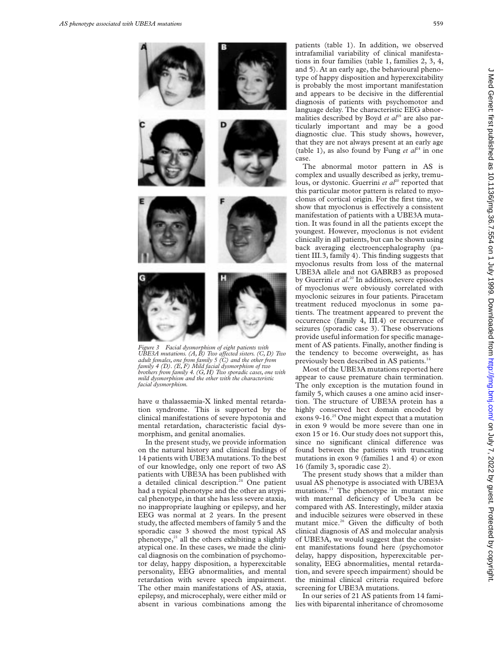

*Figure 3 Facial dysmorphism of eight patients with UBE3A mutations.* (A, B) Two affected sisters. (C, D) Two *adult females, one from family 5 (C) and the other from family 4 (D). (E, F) Mild facial dysmorphism of two brothers from family 4. (G, H) Two sporadic cases, one with mild dysmorphism and the other with the characteristic facial dysmorphism.*

have  $\alpha$  thalassaemia-X linked mental retardation syndrome. This is supported by the clinical manifestations of severe hypotonia and mental retardation, characteristic facial dysmorphism, and genital anomalies.

In the present study, we provide information on the natural history and clinical findings of 14 patients with UBE3A mutations. To the best of our knowledge, only one report of two AS patients with UBE3A has been published with a detailed clinical description.<sup>24</sup> One patient had a typical phenotype and the other an atypical phenotype, in that she has less severe ataxia, no inappropriate laughing or epilepsy, and her EEG was normal at 2 years. In the present study, the affected members of family 5 and the sporadic case 3 showed the most typical AS phenotype, $21$  all the others exhibiting a slightly atypical one. In these cases, we made the clinical diagnosis on the combination of psychomotor delay, happy disposition, a hyperexcitable personality, EEG abnormalities, and mental retardation with severe speech impairment. The other main manifestations of AS, ataxia, epilepsy, and microcephaly, were either mild or absent in various combinations among the

patients (table 1). In addition, we observed intrafamilial variability of clinical manifestations in four families (table 1, families 2, 3, 4, and 5). At an early age, the behavioural phenotype of happy disposition and hyperexcitability is probably the most important manifestation and appears to be decisive in the differential diagnosis of patients with psychomotor and language delay. The characteristic EEG abnormalities described by Boyd et al<sup>19</sup> are also particularly important and may be a good diagnostic clue. This study shows, however, that they are not always present at an early age (table 1), as also found by Fung *et*  $al^{24}$  in one case.

The abnormal motor pattern in AS is complex and usually described as jerky, tremulous, or dystonic. Guerrini *et al*<sup>20</sup> reported that this particular motor pattern is related to myoclonus of cortical origin. For the first time, we show that myoclonus is effectively a consistent manifestation of patients with a UBE3A mutation. It was found in all the patients except the youngest. However, myoclonus is not evident clinically in all patients, but can be shown using back averaging electroencephalography (patient III.3, family 4). This finding suggests that myoclonus results from loss of the maternal UBE3A allele and not GABRB3 as proposed by Guerrini *et al*. <sup>20</sup> In addition, severe episodes of myoclonus were obviously correlated with myoclonic seizures in four patients. Piracetam treatment reduced myoclonus in some patients. The treatment appeared to prevent the occurrence (family 4, III.4) or recurrence of seizures (sporadic case 3). These observations provide useful information for specific management of AS patients. Finally, another finding is the tendency to become overweight, as has previously been described in AS patients.<sup>14</sup>

Most of the UBE3A mutations reported here appear to cause premature chain termination. The only exception is the mutation found in family 5, which causes a one amino acid insertion. The structure of UBE3A protein has a highly conserved hect domain encoded by exons 9-16.<sup>25</sup> One might expect that a mutation in exon 9 would be more severe than one in exon 15 or 16. Our study does not support this, since no significant clinical difference was found between the patients with truncating mutations in exon 9 (families 1 and 4) or exon 16 (family 3, sporadic case 2).

The present study shows that a milder than usual AS phenotype is associated with UBE3A mutations.<sup>21</sup> The phenotype in mutant mice with maternal deficiency of Ube3a can be compared with AS. Interestingly, milder ataxia and inducible seizures were observed in these mutant mice.<sup>26</sup> Given the difficulty of both clinical diagnosis of AS and molecular analysis of UBE3A, we would suggest that the consistent manifestations found here (psychomotor delay, happy disposition, hyperexcitable personality, EEG abnormalities, mental retardation, and severe speech impairment) should be the minimal clinical criteria required before screening for UBE3A mutations.

In our series of 21 AS patients from 14 families with biparental inheritance of chromosome